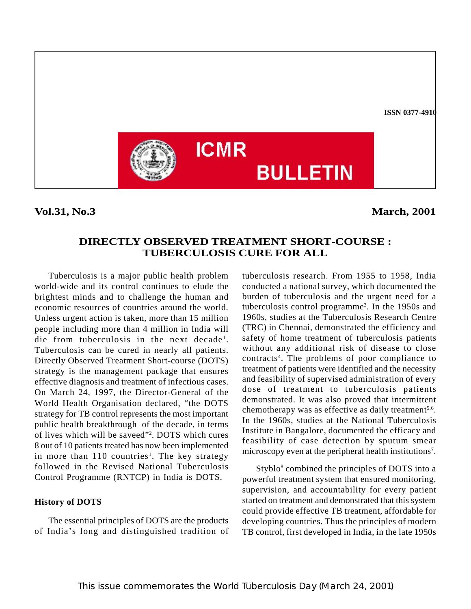

**Vol.31, No.3** March, 2001

# **DIRECTLY OBSERVED TREATMENT SHORT-COURSE : TUBERCULOSIS CURE FOR ALL**

Tuberculosis is a major public health problem world-wide and its control continues to elude the brightest minds and to challenge the human and economic resources of countries around the world. Unless urgent action is taken, more than 15 million people including more than 4 million in India will die from tuberculosis in the next decade<sup>1</sup>. Tuberculosis can be cured in nearly all patients. Directly Observed Treatment Short-course (DOTS) strategy is the management package that ensures effective diagnosis and treatment of infectious cases. On March 24, 1997, the Director-General of the World Health Organisation declared, "the DOTS strategy for TB control represents the most important public health breakthrough of the decade, in terms of lives which will be saveed"2 . DOTS which cures 8 out of 10 patients treated has now been implemented in more than  $110$  countries<sup>1</sup>. The key strategy followed in the Revised National Tuberculosis Control Programme (RNTCP) in India is DOTS.

## **History of DOTS**

The essential principles of DOTS are the products of India's long and distinguished tradition of tuberculosis research. From 1955 to 1958, India conducted a national survey, which documented the burden of tuberculosis and the urgent need for a tuberculosis control programme3 . In the 1950s and 1960s, studies at the Tuberculosis Research Centre (TRC) in Chennai, demonstrated the efficiency and safety of home treatment of tuberculosis patients without any additional risk of disease to close contracts4 . The problems of poor compliance to treatment of patients were identified and the necessity and feasibility of supervised administration of every dose of treatment to tuberculosis patients demonstrated. It was also proved that intermittent chemotherapy was as effective as daily treatment<sup>5,6</sup>. In the 1960s, studies at the National Tuberculosis Institute in Bangalore, documented the efficacy and feasibility of case detection by sputum smear microscopy even at the peripheral health institutions<sup>7</sup>.

Styblo<sup>8</sup> combined the principles of DOTS into a powerful treatment system that ensured monitoring, supervision, and accountability for every patient started on treatment and demonstrated that this system could provide effective TB treatment, affordable for developing countries. Thus the principles of modern TB control, first developed in India, in the late 1950s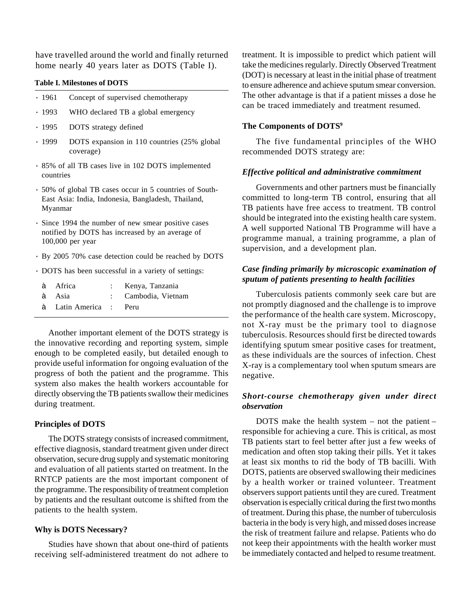have travelled around the world and finally returned home nearly 40 years later as DOTS (Table I).

#### **Table I. Milestones of DOTS**

| • 1961    | Concept of supervised chemotherapy                       |
|-----------|----------------------------------------------------------|
| . 1993    | WHO declared TB a global emergency                       |
| .1995     | DOTS strategy defined                                    |
| . 1999    | DOTS expansion in 110 countries (25% global<br>coverage) |
| countries | · 85% of all TB cases live in 102 DOTS implemented       |
|           | . 50% of global TB cases occur in 5 countries of South-  |

- East Asia: India, Indonesia, Bangladesh, Thailand, Myanmar
- · Since 1994 the number of new smear positive cases notified by DOTS has increased by an average of 100,000 per year
- · By 2005 70% case detection could be reached by DOTS
- · DOTS has been successful in a variety of settings:

| à Africa               | : Kenya, Tanzania   |
|------------------------|---------------------|
| à Asia                 | : Cambodia, Vietnam |
| à Latin America : Peru |                     |

Another important element of the DOTS strategy is the innovative recording and reporting system, simple enough to be completed easily, but detailed enough to provide useful information for ongoing evaluation of the progress of both the patient and the programme. This system also makes the health workers accountable for directly observing the TB patients swallow their medicines during treatment.

## **Principles of DOTS**

The DOTS strategy consists of increased commitment, effective diagnosis, standard treatment given under direct observation, secure drug supply and systematic monitoring and evaluation of all patients started on treatment. In the RNTCP patients are the most important component of the programme. The responsibility of treatment completion by patients and the resultant outcome is shifted from the patients to the health system.

### **Why is DOTS Necessary?**

Studies have shown that about one-third of patients receiving self-administered treatment do not adhere to treatment. It is impossible to predict which patient will take the medicines regularly. Directly Observed Treatment (DOT) is necessary at least in the initial phase of treatment to ensure adherence and achieve sputum smear conversion. The other advantage is that if a patient misses a dose he can be traced immediately and treatment resumed.

## **The Components of DOTS9**

The five fundamental principles of the WHO recommended DOTS strategy are:

### *Effective political and administrative commitment*

Governments and other partners must be financially committed to long-term TB control, ensuring that all TB patients have free access to treatment. TB control should be integrated into the existing health care system. A well supported National TB Programme will have a programme manual, a training programme, a plan of supervision, and a development plan.

# *Case finding primarily by microscopic examination of sputum of patients presenting to health facilities*

Tuberculosis patients commonly seek care but are not promptly diagnosed and the challenge is to improve the performance of the health care system. Microscopy, not X-ray must be the primary tool to diagnose tuberculosis. Resources should first be directed towards identifying sputum smear positive cases for treatment, as these individuals are the sources of infection. Chest X-ray is a complementary tool when sputum smears are negative.

## *Short-course chemotherapy given under direct observation*

DOTS make the health system – not the patient – responsible for achieving a cure. This is critical, as most TB patients start to feel better after just a few weeks of medication and often stop taking their pills. Yet it takes at least six months to rid the body of TB bacilli. With DOTS, patients are observed swallowing their medicines by a health worker or trained volunteer. Treatment observers support patients until they are cured. Treatment observation is especially critical during the first two months of treatment. During this phase, the number of tuberculosis bacteria in the body is very high, and missed doses increase the risk of treatment failure and relapse. Patients who do not keep their appointments with the health worker must be immediately contacted and helped to resume treatment.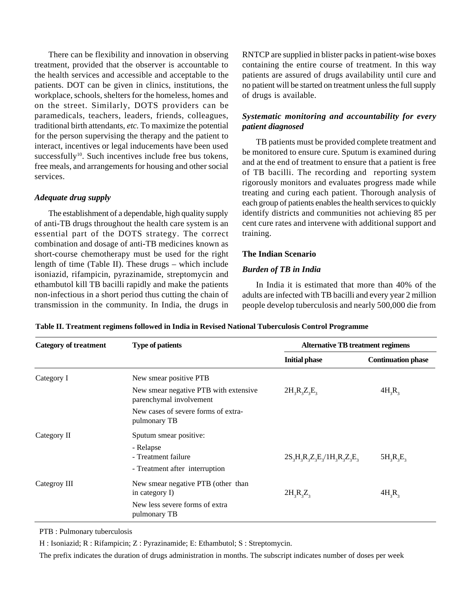There can be flexibility and innovation in observing treatment, provided that the observer is accountable to the health services and accessible and acceptable to the patients. DOT can be given in clinics, institutions, the workplace, schools, shelters for the homeless, homes and on the street. Similarly, DOTS providers can be paramedicals, teachers, leaders, friends, colleagues, traditional birth attendants, *etc.* To maximize the potential for the person supervising the therapy and the patient to interact, incentives or legal inducements have been used successfully<sup>10</sup>. Such incentives include free bus tokens, free meals, and arrangements for housing and other social services.

## *Adequate drug supply*

The establishment of a dependable, high quality supply of anti-TB drugs throughout the health care system is an essential part of the DOTS strategy. The correct combination and dosage of anti-TB medicines known as short-course chemotherapy must be used for the right length of time (Table II). These drugs – which include isoniazid, rifampicin, pyrazinamide, streptomycin and ethambutol kill TB bacilli rapidly and make the patients non-infectious in a short period thus cutting the chain of transmission in the community. In India, the drugs in

RNTCP are supplied in blister packs in patient-wise boxes containing the entire course of treatment. In this way patients are assured of drugs availability until cure and no patient will be started on treatment unless the full supply of drugs is available.

# *Systematic monitoring and accountability for every patient diagnosed*

TB patients must be provided complete treatment and be monitored to ensure cure. Sputum is examined during and at the end of treatment to ensure that a patient is free of TB bacilli. The recording and reporting system rigorously monitors and evaluates progress made while treating and curing each patient. Thorough analysis of each group of patients enables the health services to quickly identify districts and communities not achieving 85 per cent cure rates and intervene with additional support and training.

## **The Indian Scenario**

#### *Burden of TB in India*

In India it is estimated that more than 40% of the adults are infected with TB bacilli and every year 2 million people develop tuberculosis and nearly 500,000 die from

| <b>Category of treatment</b> | <b>Type of patients</b>                                            | <b>Alternative TB treatment regimens</b> |                           |  |
|------------------------------|--------------------------------------------------------------------|------------------------------------------|---------------------------|--|
|                              |                                                                    | <b>Initial phase</b>                     | <b>Continuation phase</b> |  |
| Category I                   | New smear positive PTB                                             |                                          |                           |  |
|                              | New smear negative PTB with extensive<br>parenchymal involvement   | $2H_3R_3Z_3E_3$                          | $4H_3R_3$                 |  |
|                              | New cases of severe forms of extra-<br>pulmonary TB                |                                          |                           |  |
| Category II                  | Sputum smear positive:                                             |                                          |                           |  |
|                              | - Relapse<br>- Treatment failure<br>- Treatment after interruption | $2S_3H_3R_3Z_3E_3/1H_3R_3Z_3E_3$         | $5H_3R_3E_3$              |  |
| Categroy III                 | New smear negative PTB (other than<br>in category I)               | $2H_3R_3Z_3$                             | $4H_3R_3$                 |  |
|                              | New less severe forms of extra<br>pulmonary TB                     |                                          |                           |  |

**Table II. Treatment regimens followed in India in Revised National Tuberculosis Control Programme**

PTB : Pulmonary tuberculosis

H : Isoniazid; R : Rifampicin; Z : Pyrazinamide; E: Ethambutol; S : Streptomycin.

The prefix indicates the duration of drugs administration in months. The subscript indicates number of doses per week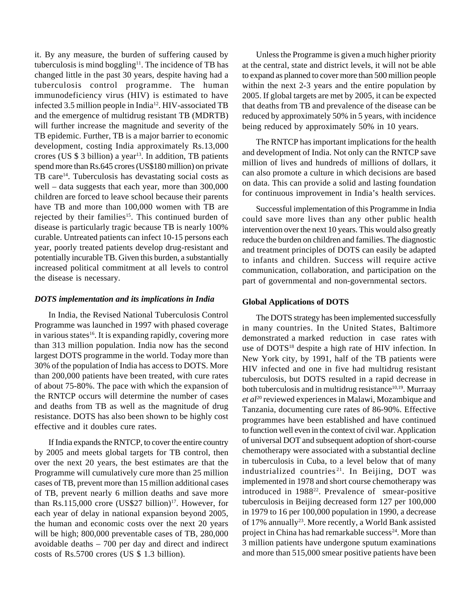it. By any measure, the burden of suffering caused by tuberculosis is mind boggling $11$ . The incidence of TB has changed little in the past 30 years, despite having had a tuberculosis control programme. The human immunodeficiency virus (HIV) is estimated to have infected 3.5 million people in India<sup>12</sup>. HIV-associated TB and the emergence of multidrug resistant TB (MDRTB) will further increase the magnitude and severity of the TB epidemic. Further, TB is a major barrier to economic development, costing India approximately Rs.13,000 crores (US  $$3$  billion) a year<sup>13</sup>. In addition, TB patients spend more than Rs.645 crores (US\$180 million) on private TB care<sup>14</sup>. Tuberculosis has devastating social costs as well – data suggests that each year, more than 300,000 children are forced to leave school because their parents have TB and more than 100,000 women with TB are rejected by their families<sup>15</sup>. This continued burden of disease is particularly tragic because TB is nearly 100% curable. Untreated patients can infect 10-15 persons each year, poorly treated patients develop drug-resistant and potentially incurable TB. Given this burden, a substantially increased political commitment at all levels to control the disease is necessary.

### *DOTS implementation and its implications in India*

In India, the Revised National Tuberculosis Control Programme was launched in 1997 with phased coverage in various states<sup>16</sup>. It is expanding rapidly, covering more than 313 million population. India now has the second largest DOTS programme in the world. Today more than 30% of the population of India has access to DOTS. More than 200,000 patients have been treated, with cure rates of about 75-80%. The pace with which the expansion of the RNTCP occurs will determine the number of cases and deaths from TB as well as the magnitude of drug resistance. DOTS has also been shown to be highly cost effective and it doubles cure rates.

If India expands the RNTCP, to cover the entire country by 2005 and meets global targets for TB control, then over the next 20 years, the best estimates are that the Programme will cumulatively cure more than 25 million cases of TB, prevent more than 15 million additional cases of TB, prevent nearly 6 million deaths and save more than Rs.115,000 crore  $(US$27 billion)^{17}$ . However, for each year of delay in national expansion beyond 2005, the human and economic costs over the next 20 years will be high; 800,000 preventable cases of TB, 280,000 avoidable deaths – 700 per day and direct and indirect costs of Rs.5700 crores (US \$ 1.3 billion).

Unless the Programme is given a much higher priority at the central, state and district levels, it will not be able to expand as planned to cover more than 500 million people within the next 2-3 years and the entire population by 2005. If global targets are met by 2005, it can be expected that deaths from TB and prevalence of the disease can be reduced by approximately 50% in 5 years, with incidence being reduced by approximately 50% in 10 years.

The RNTCP has important implications for the health and development of India. Not only can the RNTCP save million of lives and hundreds of millions of dollars, it can also promote a culture in which decisions are based on data. This can provide a solid and lasting foundation for continuous improvement in India's health services.

Successful implementation of this Programme in India could save more lives than any other public health intervention over the next 10 years. This would also greatly reduce the burden on children and families. The diagnostic and treatment principles of DOTS can easily be adapted to infants and children. Success will require active communication, collaboration, and participation on the part of governmental and non-governmental sectors.

#### **Global Applications of DOTS**

The DOTS strategy has been implemented successfully in many countries. In the United States, Baltimore demonstrated a marked reduction in case rates with use of DOTS<sup>18</sup> despite a high rate of HIV infection. In New York city, by 1991, half of the TB patients were HIV infected and one in five had multidrug resistant tuberculosis, but DOTS resulted in a rapid decrease in both tuberculosis and in multidrug resistance<sup>10,19</sup>. Murraay *et al*<sup>20</sup> reviewed experiences in Malawi, Mozambique and Tanzania, documenting cure rates of 86-90%. Effective programmes have been established and have continued to function well even in the context of civil war. Application of universal DOT and subsequent adoption of short-course chemotherapy were associated with a substantial decline in tuberculosis in Cuba, to a level below that of many industrialized countries<sup>21</sup>. In Beijing, DOT was implemented in 1978 and short course chemotherapy was introduced in 198822. Prevalence of smear-positive tuberculosis in Beijing decreased form 127 per 100,000 in 1979 to 16 per 100,000 population in 1990, a decrease of 17% annually<sup>23</sup>. More recently, a World Bank assisted project in China has had remarkable success<sup>24</sup>. More than 3 million patients have undergone sputum examinations and more than 515,000 smear positive patients have been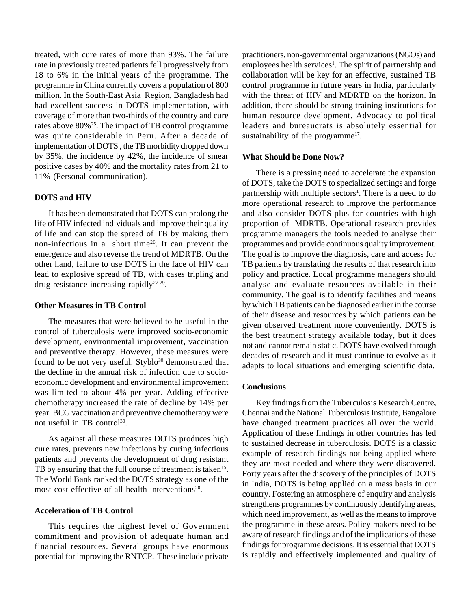treated, with cure rates of more than 93%. The failure rate in previously treated patients fell progressively from 18 to 6% in the initial years of the programme. The programme in China currently covers a population of 800 million. In the South-East Asia Region, Bangladesh had had excellent success in DOTS implementation, with coverage of more than two-thirds of the country and cure rates above 80%25. The impact of TB control programme was quite considerable in Peru. After a decade of implementation of DOTS , the TB morbidity dropped down by 35%, the incidence by 42%, the incidence of smear positive cases by 40% and the mortality rates from 21 to 11% (Personal communication).

#### **DOTS and HIV**

It has been demonstrated that DOTS can prolong the life of HIV infected individuals and improve their quality of life and can stop the spread of TB by making them non-infectious in a short time26. It can prevent the emergence and also reverse the trend of MDRTB. On the other hand, failure to use DOTS in the face of HIV can lead to explosive spread of TB, with cases tripling and drug resistance increasing rapidly27-29.

### **Other Measures in TB Control**

The measures that were believed to be useful in the control of tuberculosis were improved socio-economic development, environmental improvement, vaccination and preventive therapy. However, these measures were found to be not very useful. Styblo<sup>30</sup> demonstrated that the decline in the annual risk of infection due to socioeconomic development and environmental improvement was limited to about 4% per year. Adding effective chemotherapy increased the rate of decline by 14% per year. BCG vaccination and preventive chemotherapy were not useful in TB control<sup>30</sup>.

As against all these measures DOTS produces high cure rates, prevents new infections by curing infectious patients and prevents the development of drug resistant TB by ensuring that the full course of treatment is taken<sup>15</sup>. The World Bank ranked the DOTS strategy as one of the most cost-effective of all health interventions<sup>20</sup>.

#### **Acceleration of TB Control**

This requires the highest level of Government commitment and provision of adequate human and financial resources. Several groups have enormous potential for improving the RNTCP. These include private practitioners, non-governmental organizations (NGOs) and employees health services<sup>1</sup>. The spirit of partnership and collaboration will be key for an effective, sustained TB control programme in future years in India, particularly with the threat of HIV and MDRTB on the horizon. In addition, there should be strong training institutions for human resource development. Advocacy to political leaders and bureaucrats is absolutely essential for sustainability of the programme<sup>17</sup>.

#### **What Should be Done Now?**

There is a pressing need to accelerate the expansion of DOTS, take the DOTS to specialized settings and forge partnership with multiple sectors<sup>1</sup>. There is a need to do more operational research to improve the performance and also consider DOTS-plus for countries with high proportion of MDRTB. Operational research provides programme managers the tools needed to analyse their programmes and provide continuous quality improvement. The goal is to improve the diagnosis, care and access for TB patients by translating the results of that research into policy and practice. Local programme managers should analyse and evaluate resources available in their community. The goal is to identify facilities and means by which TB patients can be diagnosed earlier in the course of their disease and resources by which patients can be given observed treatment more conveniently. DOTS is the best treatment strategy available today, but it does not and cannot remain static. DOTS have evolved through decades of research and it must continue to evolve as it adapts to local situations and emerging scientific data.

#### **Conclusions**

Key findings from the Tuberculosis Research Centre, Chennai and the National Tuberculosis Institute, Bangalore have changed treatment practices all over the world. Application of these findings in other countries has led to sustained decrease in tuberculosis. DOTS is a classic example of research findings not being applied where they are most needed and where they were discovered. Forty years after the discovery of the principles of DOTS in India, DOTS is being applied on a mass basis in our country. Fostering an atmosphere of enquiry and analysis strengthens programmes by continuously identifying areas, which need improvement, as well as the means to improve the programme in these areas. Policy makers need to be aware of research findings and of the implications of these findings for programme decisions. It is essential that DOTS is rapidly and effectively implemented and quality of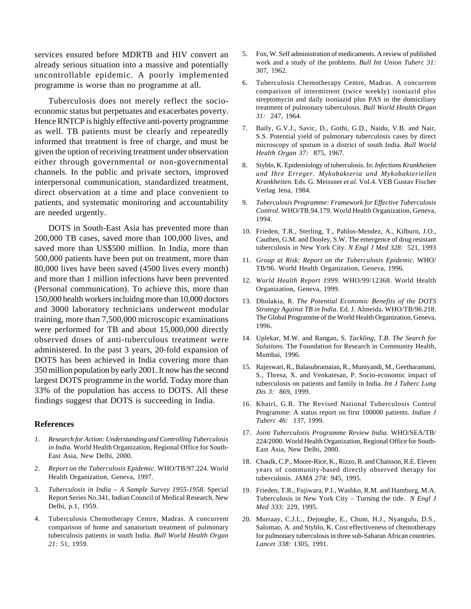services ensured before MDRTB and HIV convert an already serious situation into a massive and potentially uncontrollable epidemic. A poorly implemented programme is worse than no programme at all.

Tuberculosis does not merely reflect the socioeconomic status but perpetuates and exacerbates poverty. Hence RNTCP is highly effective anti-poverty programme as well. TB patients must be clearly and repeatedly informed that treatment is free of charge, and must be given the option of receiving treatment under observation either through governmental or non-governmental channels. In the public and private sectors, improved interpersonal communication, standardized treatment, direct observation at a time and place convenient to patients, and systematic monitoring and accountability are needed urgently.

DOTS in South-East Asia has prevented more than 200,000 TB cases, saved more than 100,000 lives, and saved more than US\$500 million. In India, more than 500,000 patients have been put on treatment, more than 80,000 lives have been saved (4500 lives every month) and more than 1 million infections have been prevented (Personal communication). To achieve this, more than 150,000 health workers incluidng more than 10,000 doctors and 3000 laboratory technicians underwent modular training, more than 7,500,000 microscopic examinations were performed for TB and about 15,000,000 directly observed doses of anti-tuberculous treatment were administered. In the past 3 years, 20-fold expansion of DOTS has been achieved in India covering more than 350 million population by early 2001. It now has the second largest DOTS programme in the world. Today more than 33% of the population has access to DOTS. All these findings suggest that DOTS is succeeding in India.

#### **References**

- 1. *Research for Action: Understanding and Controlling Tuberculosis in India.* World Health Organization, Regional Office for South-East Asia, New Delhi, 2000.
- 2. *Report on the Tuberculosis Epidemic.* WHO/TB/97.224. World Health Organization, Geneva, 1997.
- 3. *Tuberculosis in India A Sample Survey 1955-1958.* Special Report Series No.341, Indian Council of Medical Research, New Delhi, p.1, 1959.
- 4. Tuberculosis Chemotherapy Centre, Madras. A concurrent comparison of home and sanatorium treatment of pulmonary tuberculosis patients in south India. *Bull World Health Organ 21:* 51, 1959.
- 5. Fox, W. Self administration of medicaments. A review of published work and a study of the problems. *Bull Int Union Tuberc 31:* 307, 1962.
- 6. Tuberculosis Chemotherapy Centre, Madras. A concurrent comparison of intermittent (twice weekly) isoniazid plus streptomycin and daily isoniazid plus PAS in the domiciliary treatment of pulmonary tuberculosis. *Bull World Health Organ 31:* 247, 1964.
- 7. Baily, G.V.J., Savic, D., Gothi, G.D., Naidu, V.B. and Nair, S.S. Potential yield of pulmonary tuberculosis cases by direct microscopy of sputum in a district of south India. *Bull World Health Organ 37:* 875, 1967.
- 8. Styblo, K. Epidemiology of tuberculosis. In: *Infections Krankheiten und Ihre Erreger. Mykobakteria und Mykobakteriellen Krankheiten.* Eds. G. Meissner *et al.* Vol.4. VEB Gustav Fischer Verlag Jena, 1984.
- 9. *Tuberculosis Programme: Framework for Effective Tuberculosis Control.* WHO/TB.94.179. World Health Organization, Geneva, 1994.
- 10. Frieden, T.R., Sterling, T., Pablos-Mendez, A., Kilburn, J.O., Cauthen, G.M. and Dooley, S.W. The emergence of drug resistant tuberculosis in New York City. *N Engl J Med 328:* 521, 1993
- 11. *Group at Risk: Report on the Tuberculosis Epidemic*. WHO/ TB/96. World Health Organization, Geneva, 1996.
- 12. *World Health Report 1999.* WHO/99/12368. World Health Organization, Geneva, 1999.
- 13. Dholakia, R. *The Potential Economic Benefits of the DOTS Strategy Against TB in India.* Ed. J. Almeida. WHO/TB/96.218. The Global Programme of the World Health Organization, Geneva, 1996.
- 14. Uplekar, M.W. and Rangan, S. *Tackling, T.B*. *The Search for Solutions.* The Foundation for Research in Community Health, Mumbai, 1996.
- 15. Rajeswari, R., Balasubramaian, R., Muniyandi, M., Geetharamani, S., Thresa, X. and Venkatesan, P. Socio-economic impact of tuberculosis on patients and family in India. *Int J Tuberc Lung Dis 3:* 869, 1999.
- 16. Khatri, G.R. The Revised National Tuberculosis Control Programme: A status report on first 100000 patients. *Indian J Tuberc 46:* 137, 1999.
- 17. *Joint Tuberculosis Programme Review India.* WHO/SEA/TB/ 224/2000. World Health Organization, Regional Office for South-East Asia, New Delhi, 2000.
- 18. Chaulk, C.P., Moore-Rice, K., Rizzo, R. and Chaisson, R.E. Eleven years of community-based directly observed therapy for tuberculosis. *JAMA 274:* 945, 1995.
- 19. Frieden, T.R., Fujiwara, P.I., Washko, R.M. and Hamburg, M.A. Tuberculosis in New York City – Turning the tide. *N Engl J Med 333:* 229, 1995.
- 20. Murraay, C.J.L., Dejonghe, E., Chum, H.J., Nyangulu, D.S., Salomao, A. and Styblo, K. Cost effectiveness of chemotherapy for pulmonary tuberculosis in three sub-Saharan African countries. *Lancet 338:* 1305, 1991.